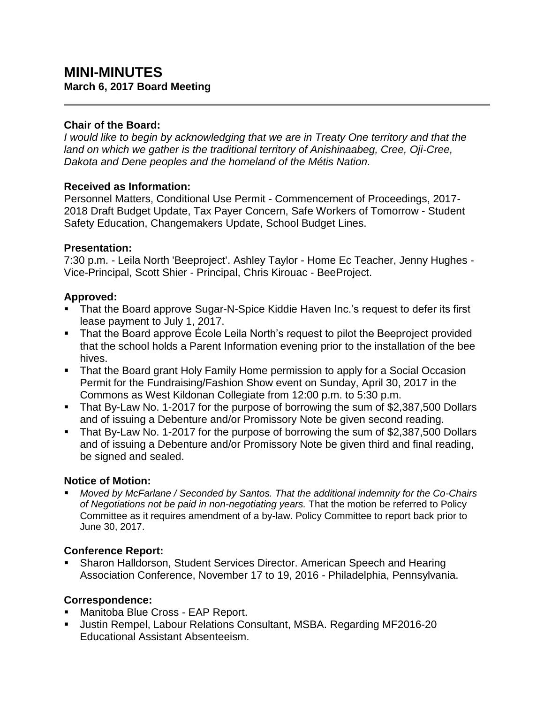# **MINI-MINUTES March 6, 2017 Board Meeting**

#### **Chair of the Board:**

*I would like to begin by acknowledging that we are in Treaty One territory and that the land on which we gather is the traditional territory of Anishinaabeg, Cree, Oji-Cree, Dakota and Dene peoples and the homeland of the Métis Nation.*

### **Received as Information:**

Personnel Matters, Conditional Use Permit - Commencement of Proceedings, 2017- 2018 Draft Budget Update, Tax Payer Concern, Safe Workers of Tomorrow - Student Safety Education, Changemakers Update, School Budget Lines.

#### **Presentation:**

7:30 p.m. - Leila North 'Beeproject'. Ashley Taylor - Home Ec Teacher, Jenny Hughes - Vice-Principal, Scott Shier - Principal, Chris Kirouac - BeeProject.

### **Approved:**

- That the Board approve Sugar-N-Spice Kiddie Haven Inc.'s request to defer its first lease payment to July 1, 2017.
- That the Board approve École Leila North's request to pilot the Beeproject provided that the school holds a Parent Information evening prior to the installation of the bee hives.
- That the Board grant Holy Family Home permission to apply for a Social Occasion Permit for the Fundraising/Fashion Show event on Sunday, April 30, 2017 in the Commons as West Kildonan Collegiate from 12:00 p.m. to 5:30 p.m.
- That By-Law No. 1-2017 for the purpose of borrowing the sum of \$2,387,500 Dollars and of issuing a Debenture and/or Promissory Note be given second reading.
- That By-Law No. 1-2017 for the purpose of borrowing the sum of \$2,387,500 Dollars and of issuing a Debenture and/or Promissory Note be given third and final reading, be signed and sealed.

#### **Notice of Motion:**

 *Moved by McFarlane / Seconded by Santos. That the additional indemnity for the Co-Chairs of Negotiations not be paid in non-negotiating years.* That the motion be referred to Policy Committee as it requires amendment of a by-law. Policy Committee to report back prior to June 30, 2017.

### **Conference Report:**

 Sharon Halldorson, Student Services Director. American Speech and Hearing Association Conference, November 17 to 19, 2016 - Philadelphia, Pennsylvania.

### **Correspondence:**

- **Manitoba Blue Cross EAP Report.**
- Justin Rempel, Labour Relations Consultant, MSBA. Regarding MF2016-20 Educational Assistant Absenteeism.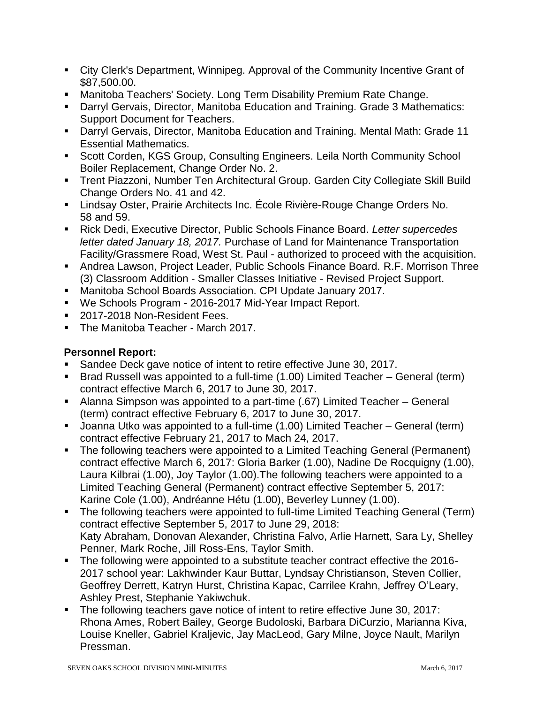- City Clerk's Department, Winnipeg. Approval of the Community Incentive Grant of \$87,500.00.
- Manitoba Teachers' Society. Long Term Disability Premium Rate Change.
- Darryl Gervais, Director, Manitoba Education and Training. Grade 3 Mathematics: Support Document for Teachers.
- Darryl Gervais, Director, Manitoba Education and Training. Mental Math: Grade 11 Essential Mathematics.
- Scott Corden, KGS Group, Consulting Engineers. Leila North Community School Boiler Replacement, Change Order No. 2.
- Trent Piazzoni, Number Ten Architectural Group. Garden City Collegiate Skill Build Change Orders No. 41 and 42.
- Lindsay Oster, Prairie Architects Inc. École Rivière-Rouge Change Orders No. 58 and 59.
- Rick Dedi, Executive Director, Public Schools Finance Board. *Letter supercedes letter dated January 18, 2017.* Purchase of Land for Maintenance Transportation Facility/Grassmere Road, West St. Paul - authorized to proceed with the acquisition.
- Andrea Lawson, Project Leader, Public Schools Finance Board. R.F. Morrison Three (3) Classroom Addition - Smaller Classes Initiative - Revised Project Support.
- Manitoba School Boards Association. CPI Update January 2017.
- We Schools Program 2016-2017 Mid-Year Impact Report.
- 2017-2018 Non-Resident Fees.
- The Manitoba Teacher March 2017.

# **Personnel Report:**

- Sandee Deck gave notice of intent to retire effective June 30, 2017.
- Brad Russell was appointed to a full-time (1.00) Limited Teacher General (term) contract effective March 6, 2017 to June 30, 2017.
- Alanna Simpson was appointed to a part-time (.67) Limited Teacher General (term) contract effective February 6, 2017 to June 30, 2017.
- Joanna Utko was appointed to a full-time (1.00) Limited Teacher General (term) contract effective February 21, 2017 to Mach 24, 2017.
- The following teachers were appointed to a Limited Teaching General (Permanent) contract effective March 6, 2017: Gloria Barker (1.00), Nadine De Rocquigny (1.00), Laura Kilbrai (1.00), Joy Taylor (1.00).The following teachers were appointed to a Limited Teaching General (Permanent) contract effective September 5, 2017: Karine Cole (1.00), Andréanne Hétu (1.00), Beverley Lunney (1.00).
- The following teachers were appointed to full-time Limited Teaching General (Term) contract effective September 5, 2017 to June 29, 2018: Katy Abraham, Donovan Alexander, Christina Falvo, Arlie Harnett, Sara Ly, Shelley Penner, Mark Roche, Jill Ross-Ens, Taylor Smith.
- The following were appointed to a substitute teacher contract effective the 2016- 2017 school year: Lakhwinder Kaur Buttar, Lyndsay Christianson, Steven Collier, Geoffrey Derrett, Katryn Hurst, Christina Kapac, Carrilee Krahn, Jeffrey O'Leary, Ashley Prest, Stephanie Yakiwchuk.
- The following teachers gave notice of intent to retire effective June 30, 2017: Rhona Ames, Robert Bailey, George Budoloski, Barbara DiCurzio, Marianna Kiva, Louise Kneller, Gabriel Kraljevic, Jay MacLeod, Gary Milne, Joyce Nault, Marilyn Pressman.